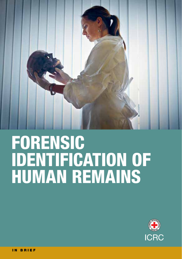

# FORENSIC IDENTIFICATION OF HUMAN REMAINS

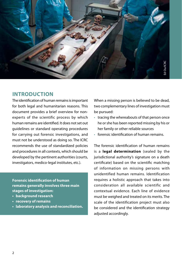

## **INTRODUCTION**

The identification of human remains is important for both legal and humanitarian reasons. This document provides a brief overview for nonexperts of the scientific process by which human remains are identified. It does not set out guidelines or standard operating procedures for carrying out forensic investigations, and must not be understood as doing so. The ICRC recommends the use of standardized policies and procedures in all contexts, which should be developed by the pertinent authorities (courts, investigators, medico-legal institutes, etc.).

**Forensic identification of human remains generally involves three main stages of investigation:**

- **• background research**
- **• recovery of remains**
- **• laboratory analysis and reconciliation.**

When a missing person is believed to be dead, two complementary lines of investigation must be pursued:

- tracing the whereabouts of that person once he or she has been reported missing by his or her family or other reliable sources
- forensic identification of human remains.

The forensic identification of human remains is a **legal determination** (sealed by the jurisdictional authority's signature on a death certificate) based on the scientific matching of information on missing persons with unidentified human remains. Identification requires a holistic approach that takes into consideration all available scientific and contextual evidence. Each line of evidence must be weighed and treated on its merits. The scale of the identification project must also be considered and the identification strategy adjusted accordingly.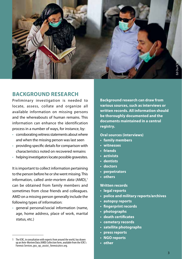

## **BACKGROUND RESEARCH**

Preliminary investigation is needed to locate, assess, collate and organize all available information on missing persons and the whereabouts of human remains. This information can enhance the identification process in a number of ways, for instance, by:

- corroborating witness statements about where and when the missing person was last seen
- providing specific details for comparison with characteristics noted on recovered remains
- helping investigators locate possible gravesites.

It is important to collect information pertaining to the person before he or she went missing. This information, called *ante-mortem data* (AMD).<sup>1</sup> can be obtained from family members and sometimes from close friends and colleagues. AMD on a missing person generally include the following types of information:

• general personal/social information (name, age, home address, place of work, marital status, etc.)

**Background research can draw from various sources, such as interviews or written records. All information should be thoroughly documented and the documents maintained in a central registry.**

#### **Oral sources (interviews)**

- **• family members**
- **• witnesses**
- **• friends**
- **• activists**
- **• dentists**
- **• doctors**
- **• perpetrators**
- **• others**

#### **Written records**

- **• legal reports**
- **• police and military reports/archives**
- **• autopsy reports**
- **• fingerprint records**
- **• photographs**
- **• death certificates**
- **• cemetery records**
- **• satellite photographs**
- **• press reports**
- **• NGO reports**
- **• other**

<sup>1</sup> The ICRC, in consultation with experts from around the world, has drawn up an Ante-Mortem Data (AMD) Collection form, available from the ICRC's Forensic Services, gva\_op\_asssist\_forensic@icrc.org.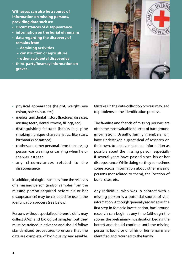**Witnesses can also be a source of information on missing persons, providing data such as:**

- **• circumstances of disappearance**
- **• information on the burial of remains**
- **• data regarding the discovery of remains from**
	- **– demining activities**
	- **– construction or agriculture**
	- **– other accidental discoveries**
- **• third-party/hearsay information on graves.**



- physical appearance (height, weight, eye colour, hair colour, etc.)
- medical and dental history (fractures, diseases, missing teeth, dental crowns, fillings, etc.)
- distinguishing features (habits [e.g. pipe smoking], unique characteristics, like scars, birthmarks or tattoos)
- clothes and other personal items the missing person was wearing or carrying when he or she was last seen
- any circumstances related to the disappearance.

In addition, biological samples from the relatives of a missing person (and/or samples from the missing person acquired before his or her disappearance) may be collected for use in the identification process (see below).

Persons without specialized forensic skills may collect AMD and biological samples, but they must be trained in advance and should follow standardized procedures to ensure that the data are complete, of high quality, and reliable. Mistakes in the data-collection process may lead to problems in the identification process.

The families and friends of missing persons are often the most valuable sources of background information. Usually, family members will have undertaken a great deal of research on their own, to uncover as much information as possible about the missing person, especially if several years have passed since his or her disappearance. While doing so, they sometimes come across information about other missing persons (not related to them), the location of burial sites, etc.

Any individual who was in contact with a missing person is a potential source of vital information. Although generally regarded as the first step in forensic investigation, background research can begin at any time (although the sooner the preliminary investigation begins, the better) and should continue until the missing person is found or until his or her remains are identified and returned to the family.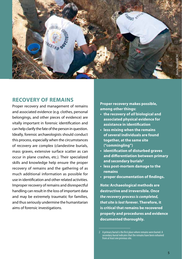

### **RECOVERY OF REMAINS**

Proper recovery and management of remains and associated evidence (e.g. clothes, personal belongings, and other pieces of evidence) are vitally important in forensic identification and can help clarify the fate of the person in question. Ideally, forensic archaeologists should conduct this process, especially when the circumstances of recovery are complex (clandestine burials, mass graves, extensive surface scatter as can occur in plane crashes, etc.). Their specialized skills and knowledge help ensure the proper recovery of remains and the gathering of as much additional information as possible for use in identification and other related activities. Improper recovery of remains and disrespectful handling can result in the loss of important data and may be extremely traumatic for families, and thus seriously undermine the humanitarian aims of forensic investigations.

**Proper recovery makes possible, among other things:**

- **• the recovery of** *all* **biological and associated physical evidence for assistance in identification**
- **• less mixing when the remains of several individuals are found together, at the same site ("commingling")**
- **• identification of disturbed graves and differentiation between primary and secondary burials<sup>2</sup>**
- **• less post-mortem damage to the remains**
- **• proper documentation of findings.**

*Note:* **Archaeological methods are destructive and irreversible.** *Once the recovery process is completed, that site is lost forever.* **Therefore, it is critical that remains be recovered properly and procedures and evidence documented thoroughly.**

<sup>2</sup> A primary burial is the first place where remains were buried. A secondary burial indicates that the remains have been exhumed from at least one previous site.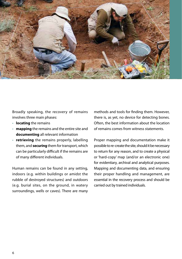

Broadly speaking, the recovery of remains involves three main phases:

- **locating** the remains
- **mapping** the remains and the entire site and **documenting** all relevant information
- **retrieving** the remains properly, labelling them, and **securing** them for transport, which can be particularly difficult if the remains are of many different individuals.

Human remains can be found in any setting, indoors (e.g. within buildings or amidst the rubble of destroyed structures) and outdoors (e.g. burial sites, on the ground, in watery surroundings, wells or caves). There are many

methods and tools for finding them. However, there is, as yet, no device for detecting bones. Often, the best information about the location of remains comes from witness statements.

Proper mapping and documentation make it possible to re-create the site, should it be necessary to return for any reason, and to create a physical or 'hard-copy' map (and/or an electronic one) for evidentiary, archival and analytical purposes. Mapping and documenting data, and ensuring their proper handling and management, are essential in the recovery process and should be carried out by trained individuals.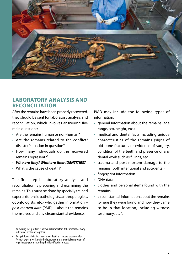

## **LABORATORY ANALYSIS AND RECONCILIATION**

After the remains have been properly recovered, they should be sent for laboratory analysis and reconciliation, which involves answering five main questions:

- Are the remains human or non-human?
- Are the remains related to the conflict/ disaster/situation in question?
- How many individuals do the recovered remains represent?3
- *Who are they? What are their IDENTITIES?*
- What is the cause of death?4

The first step in laboratory analysis and reconciliation is preparing and examining the remains. This must be done by specially trained experts (forensic pathologists, anthropologists, odontologists, etc.) who gather information – *post-mortem data* (PMD) – about the remains themselves and any circumstantial evidence.

PMD may include the following types of information:

- general information about the remains (age range, sex, height, etc.)
- medical and dental facts including unique characteristics of the remains (signs of old bone fractures or evidence of surgery, condition of the teeth and presence of any dental work such as fillings, etc.)
- trauma and post-mortem damage to the remains (both intentional and accidental)
- fingerprint information
- DNA data
- clothes and personal items found with the remains
- circumstantial information about the remains (where they were found and how they came to be in that location, including witness testimony, etc.).

<sup>3</sup> Answering this question is particularly important if the remains of many individuals are found together.

<sup>4</sup> Analysis for establishing the cause of death is standard procedure for forensic experts working in the laboratory and is a crucial component of legal investigation, including the identification process.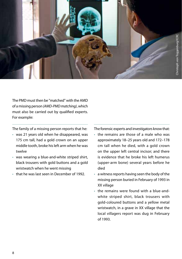

The PMD must then be "matched" with the AMD of a missing person *(AMD-PMD matching)*, which must also be carried out by qualified experts. For example:

The family of a missing person reports that he:

- was 21 years old when he disappeared, was 175 cm tall, had a gold crown on an upper middle tooth, broke his left arm when he was twelve
- was wearing a blue-and-white striped shirt, black trousers with gold buttons and a gold wristwatch when he went missing
- that he was last seen in December of 1992.

The forensic experts and investigators know that:

- the remains are those of a male who was approximately 18–25 years old and 172–178 cm tall when he died, with a gold crown on the upper left central incisor; and there is evidence that he broke his left humerus (upper-arm bone) several years before he died
- a witness reports having seen the body of the missing person buried in February of 1993 in XX village
- the remains were found with a blue-andwhite striped shirt, black trousers with gold-coloured buttons and a yellow metal wristwatch, in a grave in XX village that the local villagers report was dug in February of 1993.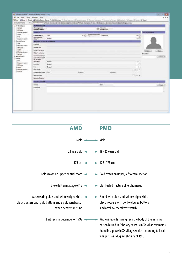| <b>Novigabon Fanci</b>                                                                                                                                                                                                 |                                                       |                            |               | 4 = Constitutions (Tange Hersen Cress, Document/Hebological Analysis (Alleis (Bergles Alleis Herschophone) Dataschingsunnang |                   |                         |  |
|------------------------------------------------------------------------------------------------------------------------------------------------------------------------------------------------------------------------|-------------------------------------------------------|----------------------------|---------------|------------------------------------------------------------------------------------------------------------------------------|-------------------|-------------------------|--|
| El All Herickypes<br><b><i>Renos</i></b><br>PM case<br>Missing person<br><b>Farmt</b><br>She.<br>Arcovery point                                                                                                        | <b>PALMER ROUGH</b>                                   |                            |               |                                                                                                                              |                   |                         |  |
|                                                                                                                                                                                                                        | Monaganan<br>asalasinada Pi                           |                            | El Afanaton   |                                                                                                                              |                   |                         |  |
|                                                                                                                                                                                                                        | <b>BEATING</b>                                        |                            |               |                                                                                                                              | <b>PERTENSION</b> |                         |  |
|                                                                                                                                                                                                                        | Case states (*)                                       | Cares.                     |               | . C 22 September 1984                                                                                                        |                   |                         |  |
|                                                                                                                                                                                                                        | <b><i>Unanny printer</i></b><br>status                | <b>Simmel</b>              |               |                                                                                                                              | $\cdot$ n         |                         |  |
| Opened items                                                                                                                                                                                                           |                                                       | <b>COMMUNIST INSTITUTE</b> |               |                                                                                                                              |                   |                         |  |
| $-50+$<br>- Recovers point<br>-PM case<br>- Fuent<br>in Missing person<br><b>Person</b><br>- Season here:<br>(i) Hilstony<br>She<br>Recovery point<br><b>PM</b> case<br>ii fuert<br>iii Missing period.<br>iii Perscis | Fullment                                              |                            |               |                                                                                                                              |                   |                         |  |
|                                                                                                                                                                                                                        | <b>Name at Sims</b>                                   |                            |               |                                                                                                                              |                   |                         |  |
|                                                                                                                                                                                                                        | Father's full name.                                   |                            |               |                                                                                                                              |                   | Cast -<br><b>Energy</b> |  |
|                                                                                                                                                                                                                        | Multiwr's full toying                                 |                            |               |                                                                                                                              | Cisio takim       |                         |  |
|                                                                                                                                                                                                                        | <b>Notrame Algres</b><br><b>INFORMATION CONTINUES</b> |                            |               |                                                                                                                              |                   | 11 Sawl. 4.             |  |
|                                                                                                                                                                                                                        | ear Tulhysmic                                         |                            |               |                                                                                                                              |                   |                         |  |
|                                                                                                                                                                                                                        | Nationality                                           | <b>Block!</b>              |               |                                                                                                                              | $\sim$            |                         |  |
|                                                                                                                                                                                                                        | Anoney.<br>lias:                                      | (Dron)<br><b>IDminut</b>   |               |                                                                                                                              | 2 m S<br>$ +$ $+$ |                         |  |
|                                                                                                                                                                                                                        | Case of sonic                                         |                            |               |                                                                                                                              | Date #1           |                         |  |
|                                                                                                                                                                                                                        | Agentes fert care                                     | Kind.                      | <b>Manaci</b> | Magazine                                                                                                                     |                   |                         |  |
|                                                                                                                                                                                                                        | Link sees date                                        |                            |               |                                                                                                                              | Door #1           |                         |  |
|                                                                                                                                                                                                                        | Last saws location                                    |                            |               |                                                                                                                              |                   |                         |  |
|                                                                                                                                                                                                                        | <b>TAXABLE INTERNET</b>                               |                            |               |                                                                                                                              |                   |                         |  |
|                                                                                                                                                                                                                        | <b>Nover</b>                                          |                            |               | <b>Dift</b>                                                                                                                  |                   | $B$ tool $\bullet$      |  |
|                                                                                                                                                                                                                        | Conmente                                              |                            |               |                                                                                                                              |                   |                         |  |
|                                                                                                                                                                                                                        | o esta                                                |                            |               |                                                                                                                              |                   |                         |  |
|                                                                                                                                                                                                                        |                                                       |                            |               |                                                                                                                              |                   |                         |  |
|                                                                                                                                                                                                                        |                                                       |                            |               |                                                                                                                              |                   |                         |  |
|                                                                                                                                                                                                                        |                                                       |                            |               |                                                                                                                              |                   |                         |  |
|                                                                                                                                                                                                                        |                                                       |                            |               |                                                                                                                              |                   |                         |  |

| AMD                                                                                             |                             | <b>PMD</b>                                                                                                                                                                                                                                                            |
|-------------------------------------------------------------------------------------------------|-----------------------------|-----------------------------------------------------------------------------------------------------------------------------------------------------------------------------------------------------------------------------------------------------------------------|
|                                                                                                 | Male $\longrightarrow$ Male |                                                                                                                                                                                                                                                                       |
|                                                                                                 |                             | 21 years old $\leftarrow$ 18-25 years old                                                                                                                                                                                                                             |
|                                                                                                 |                             | 175 cm $\leftarrow$ 172-178 cm                                                                                                                                                                                                                                        |
|                                                                                                 |                             | Gold crown on upper, central tooth $\leftarrow$ Gold crown on upper, left central incisor                                                                                                                                                                             |
|                                                                                                 |                             | Broke left arm at age of 12<br>Similarly Old, healed fracture of left humerus                                                                                                                                                                                         |
| Was wearing blue-and-white striped shirt, $\leftarrow$ Found with blue-and-white striped shirt, |                             |                                                                                                                                                                                                                                                                       |
| black trousers with gold buttons and a gold wristwatch                                          |                             | black trousers with gold-coloured buttons                                                                                                                                                                                                                             |
| when he went missing                                                                            |                             | and a yellow metal wristwatch                                                                                                                                                                                                                                         |
|                                                                                                 |                             | Last seen in December of 1992 $\longrightarrow$ Witness reports having seen the body of the missing<br>person buried in February of 1993 in XX village/remains<br>found in a grave in XX village, which, according to local<br>villagers, was dug in February of 1993 |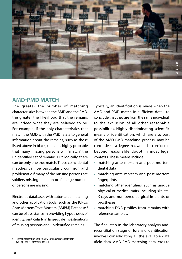

## **AMD-PMD MATCH**

The greater the number of matching characteristics between the AMD and the PMD, the greater the likelihood that the remains are indeed what they are believed to be. For example, if the only characteristics that match the AMD with the PMD relate to general information about the remains, such as those listed above in black, then it is highly probable that many missing persons will "match" the unidentified set of remains. But, logically, there can be only one true match. These coincidental matches can be particularly common and problematic if many of the missing persons are soldiers missing in action or if a large number of persons are missing.

Electronic databases with automated matching and other application tools, such as the ICRC's Ante-Mortem/Post-Mortem (AMPM) Database,5 can be of assistance in providing hypotheses of identity, particularly in large-scale investigations of missing persons and unidentified remains.

Typically, an identification is made when the AMD and PMD match in sufficient detail to conclude that they are from the same individual, to the exclusion of all other reasonable possibilities. Highly discriminating scientific means of identification, which are also part of the AMD-PMD matching process, may be conclusive to a degree that would be considered beyond reasonable doubt in most legal contexts. These means include:

- matching ante-mortem and post-mortem dental data
- matching ante-mortem and post-mortem fingerprints
- matching other identifiers, such as unique physical or medical traits, including skeletal X-rays and numbered surgical implants or prostheses
- matching DNA profiles from remains with reference samples.

The final step in the laboratory analysis-andreconciliation stage of forensic identification involves consolidating all the available data (field data, AMD-PMD matching data, etc.) to

<sup>5</sup> Further information on the AMPM Database is available from gva\_op\_assist\_forensic@icrc.org.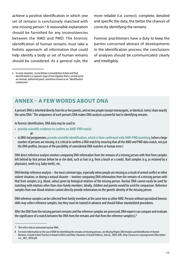achieve a positive identification in which one set of remains is conclusively matched with one missing person.6 A reasonable explanation should be furnished for any inconsistencies between the AMD and PMD. The forensic identification of human remains must take a holistic approach: all information that could help identify a body or set of human remains should be considered. As a general rule, the

6 In some situations, reconciliation (consolidation of data and final identification) is a separate stage of investigation that is carried out by an external, authorized panel, sometimes known as an "identification commission."

more reliable (i.e. correct), complete, detailed and specific the data, the better the chances of correctly identifying the remains.

Forensic practitioners have a duty to keep the parties concerned abreast of developments in the identification process; the conclusions of analyses should be communicated clearly and intelligibly.

# **ANNEX – A few words about DNA**

A person's DNA is inherited directly from his or her parents, and no two people (except monozygotic, or identical, twins) share exactly the same DNA.7 The uniqueness of each person's DNA makes DNA analysis a powerful tool in identifying remains.

In forensic identification, DNA data may be used to:

- • **provide scientific evidence to confirm an AMD-PMD match** *or*
- in DNA-led programmes, provide scientific identification, which is then confirmed with AMD-PMD matching (when a large number of persons are missing, it is critical to confirm a DNA match by ensuring that all the AMD and PMD data match, not just the DNA profiles, because of the possibility of coincidental DNA matches or human error.)

DNA direct reference analysis involves comparing DNA information from the remains of a missing person with that from samples left behind by that person before he or she died, such as hair (e.g. from a brush or a comb), fluid samples (e.g. as retained by a physician), teeth (e.g. baby teeth), etc.

DNA kinship-reference analysis – the most common type, especially when people are missing as a result of armed conflict or other violent situation, or during a natural disaster – involves comparing DNA information from the remains of a missing person with that from samples (e.g. blood, saliva) given by biological relatives of the missing person. Nuclear DNA cannot easily be used for matching with relatives other than close family members. Ideally, children and parents would be used for comparison. Reference samples from non-blood relatives cannot directly provide information on the genetic identity of the missing person.

DNA reference samples can be collected from family members at the same time as other AMD. Persons without specialized forensic skills may collect reference samples, but they must be trained in advance and should follow standardized procedures.

After the DNA from the missing person's remains and the reference samples are processed, DNA experts can compare and evaluate the significance of a match between the DNA from the remains and that from the reference sample(s).<sup>8</sup>

<sup>7</sup> This refers only to autosomal nuclear DNA.

<sup>8</sup> For more information on the use of DNA for identifying the remains of missing persons, see *Missing People, DNA Analysis and Identification of Human Remains: A Guide to Best Practice in Armed Conflicts and Other Situations of Armed Violence*, 2nd ed., 2009, ICRC, http://www.icrc.org/eng/assets/files/other/ icrc\_002\_4010.pdf